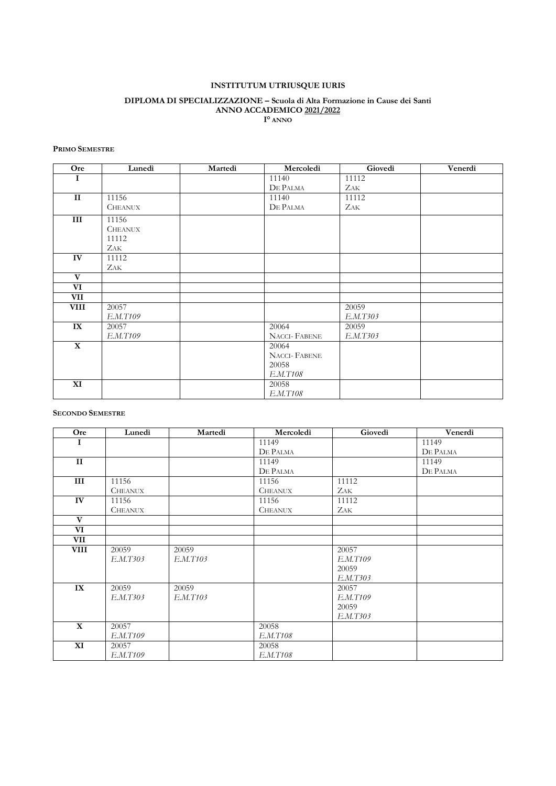# **INSTITUTUM UTRIUSQUE IURIS**

#### **DIPLOMA DI SPECIALIZZAZIONE – Scuola di Alta Formazione in Cause dei Santi ANNO ACCADEMICO 2021/2022 I° ANNO**

### **PRIMO SEMESTRE**

| Ore          | Lunedì         | Martedì | Mercoledì           | Giovedì    | Venerdì |
|--------------|----------------|---------|---------------------|------------|---------|
| I            |                |         | 11140               | 11112      |         |
|              |                |         | DE PALMA            | <b>ZAK</b> |         |
| $\mathbf{I}$ | 11156          |         | 11140               | 11112      |         |
|              | <b>CHEANUX</b> |         | DE PALMA            | ZAK        |         |
| III          | 11156          |         |                     |            |         |
|              | <b>CHEANUX</b> |         |                     |            |         |
|              | 11112          |         |                     |            |         |
|              | <b>ZAK</b>     |         |                     |            |         |
| IV           | 11112          |         |                     |            |         |
|              | <b>ZAK</b>     |         |                     |            |         |
| $\mathbf{V}$ |                |         |                     |            |         |
| VI           |                |         |                     |            |         |
| VII          |                |         |                     |            |         |
| <b>VIII</b>  | 20057          |         |                     | 20059      |         |
|              | E.M.T109       |         |                     | E.M.T303   |         |
| IX           | 20057          |         | 20064               | 20059      |         |
|              | E.M.T109       |         | <b>NACCI-FABENE</b> | E.M.T303   |         |
| $\mathbf X$  |                |         | 20064               |            |         |
|              |                |         | <b>NACCI-FABENE</b> |            |         |
|              |                |         | 20058               |            |         |
|              |                |         | E.M.T108            |            |         |
| XI           |                |         | 20058               |            |         |
|              |                |         | E.M.T108            |            |         |

### **SECONDO SEMESTRE**

| Ore          | Lunedì         | Martedì  | Mercoledì      | Giovedì  | Venerdì  |
|--------------|----------------|----------|----------------|----------|----------|
| I            |                |          | 11149          |          | 11149    |
|              |                |          | DE PALMA       |          | DE PALMA |
| $\mathbf{I}$ |                |          | 11149          |          | 11149    |
|              |                |          | DE PALMA       |          | DE PALMA |
| III          | 11156          |          | 11156          | 11112    |          |
|              | <b>CHEANUX</b> |          | <b>CHEANUX</b> | ZAK      |          |
| IV           | 11156          |          | 11156          | 11112    |          |
|              | <b>CHEANUX</b> |          | <b>CHEANUX</b> | Zak-     |          |
| $\mathbf{V}$ |                |          |                |          |          |
| VI           |                |          |                |          |          |
| VII          |                |          |                |          |          |
| <b>VIII</b>  | 20059          | 20059    |                | 20057    |          |
|              | E.M.T303       | E.M.T103 |                | E.M.T109 |          |
|              |                |          |                | 20059    |          |
|              |                |          |                | E.M.T303 |          |
| IX           | 20059          | 20059    |                | 20057    |          |
|              | E.M.T303       | E.M.T103 |                | E.M.T109 |          |
|              |                |          |                | 20059    |          |
|              |                |          |                | E.M.T303 |          |
| $\mathbf X$  | 20057          |          | 20058          |          |          |
|              | E.M.T109       |          | E.M.T108       |          |          |
| XI           | 20057          |          | 20058          |          |          |
|              | E.M.T109       |          | E.M.T108       |          |          |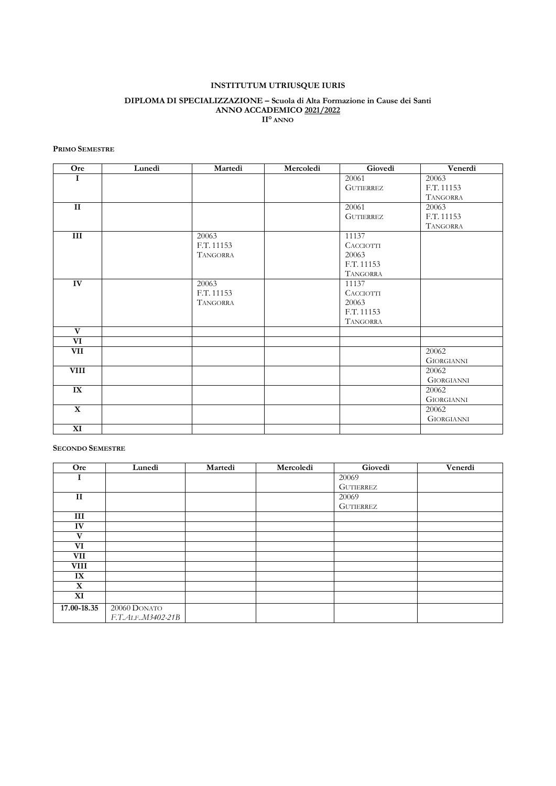# **INSTITUTUM UTRIUSQUE IURIS**

#### **DIPLOMA DI SPECIALIZZAZIONE – Scuola di Alta Formazione in Cause dei Santi ANNO ACCADEMICO 2021/2022 II° ANNO**

### **PRIMO SEMESTRE**

| Ore              | Lunedì | Martedì         | Mercoledì | Giovedì          | Venerdì           |
|------------------|--------|-----------------|-----------|------------------|-------------------|
| 1                |        |                 |           | 20061            | 20063             |
|                  |        |                 |           | <b>GUTTERREZ</b> | F.T. 11153        |
|                  |        |                 |           |                  | <b>TANGORRA</b>   |
| $\mathbf{I}$     |        |                 |           | 20061            | 20063             |
|                  |        |                 |           | <b>GUTTERREZ</b> | F.T. 11153        |
|                  |        |                 |           |                  | <b>TANGORRA</b>   |
| $\overline{III}$ |        | 20063           |           | 11137            |                   |
|                  |        | F.T. 11153      |           | <b>CACCIOTTI</b> |                   |
|                  |        | <b>TANGORRA</b> |           | 20063            |                   |
|                  |        |                 |           | F.T. 11153       |                   |
|                  |        |                 |           | <b>TANGORRA</b>  |                   |
| IV               |        | 20063           |           | 11137            |                   |
|                  |        | F.T. 11153      |           | <b>CACCIOTTI</b> |                   |
|                  |        | <b>TANGORRA</b> |           | 20063            |                   |
|                  |        |                 |           | F.T. 11153       |                   |
|                  |        |                 |           | <b>TANGORRA</b>  |                   |
| $\mathbf{V}$     |        |                 |           |                  |                   |
| VI               |        |                 |           |                  |                   |
| VII              |        |                 |           |                  | 20062             |
|                  |        |                 |           |                  | <b>GIORGIANNI</b> |
| <b>VIII</b>      |        |                 |           |                  | 20062             |
|                  |        |                 |           |                  | <b>GIORGIANNI</b> |
| IX               |        |                 |           |                  | 20062             |
|                  |        |                 |           |                  | <b>GIORGIANNI</b> |
| $\mathbf{X}$     |        |                 |           |                  | 20062             |
|                  |        |                 |           |                  | <b>GIORGIANNI</b> |
| XI               |        |                 |           |                  |                   |

### **SECONDO SEMESTRE**

| Ore          | Lunedì              | Martedì | Mercoledì | Giovedì          | Venerdì |
|--------------|---------------------|---------|-----------|------------------|---------|
|              |                     |         |           | 20069            |         |
|              |                     |         |           | <b>GUTIERREZ</b> |         |
| $\mathbf{I}$ |                     |         |           | 20069            |         |
|              |                     |         |           | GUTIERREZ        |         |
| Ш            |                     |         |           |                  |         |
| IV           |                     |         |           |                  |         |
| $\mathbf{V}$ |                     |         |           |                  |         |
| VI           |                     |         |           |                  |         |
| <b>VII</b>   |                     |         |           |                  |         |
| <b>VIII</b>  |                     |         |           |                  |         |
| IX           |                     |         |           |                  |         |
| $\mathbf X$  |                     |         |           |                  |         |
| XI           |                     |         |           |                  |         |
| 17.00-18.35  | 20060 DONATO        |         |           |                  |         |
|              | F.T.ALF., M3402-21B |         |           |                  |         |